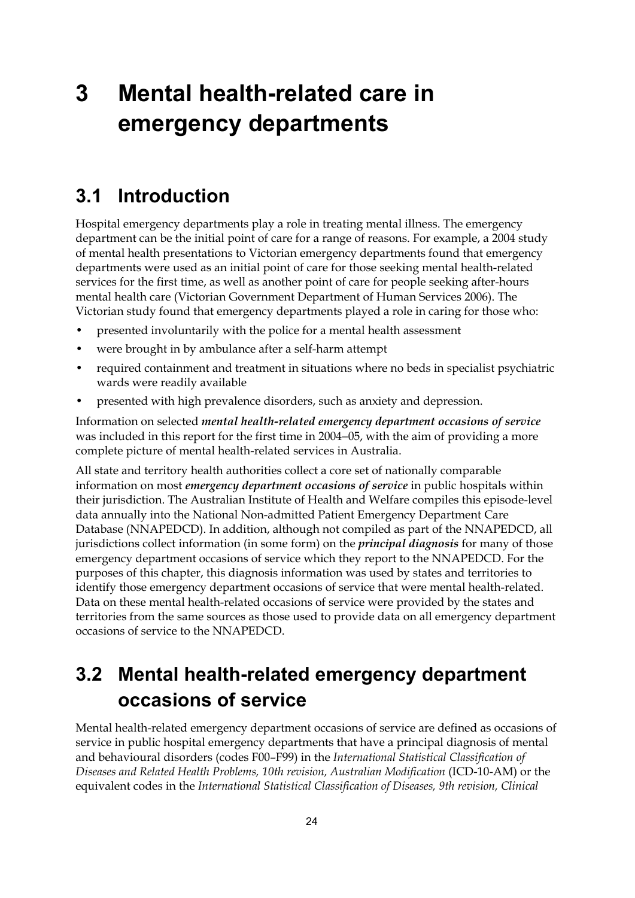# **3 Mental health-related care in emergency departments**

### **3.1 Introduction**

Hospital emergency departments play a role in treating mental illness. The emergency department can be the initial point of care for a range of reasons. For example, a 2004 study of mental health presentations to Victorian emergency departments found that emergency departments were used as an initial point of care for those seeking mental health-related services for the first time, as well as another point of care for people seeking after-hours mental health care (Victorian Government Department of Human Services 2006). The Victorian study found that emergency departments played a role in caring for those who:

- presented involuntarily with the police for a mental health assessment
- were brought in by ambulance after a self-harm attempt
- required containment and treatment in situations where no beds in specialist psychiatric wards were readily available
- presented with high prevalence disorders, such as anxiety and depression.

Information on selected *mental health-related emergency department occasions of service* was included in this report for the first time in 2004−05, with the aim of providing a more complete picture of mental health-related services in Australia.

All state and territory health authorities collect a core set of nationally comparable information on most *emergency department occasions of service* in public hospitals within their jurisdiction. The Australian Institute of Health and Welfare compiles this episode-level data annually into the National Non-admitted Patient Emergency Department Care Database (NNAPEDCD). In addition, although not compiled as part of the NNAPEDCD, all jurisdictions collect information (in some form) on the *principal diagnosis* for many of those emergency department occasions of service which they report to the NNAPEDCD. For the purposes of this chapter, this diagnosis information was used by states and territories to identify those emergency department occasions of service that were mental health-related. Data on these mental health-related occasions of service were provided by the states and territories from the same sources as those used to provide data on all emergency department occasions of service to the NNAPEDCD.

## **3.2 Mental health-related emergency department occasions of service**

Mental health-related emergency department occasions of service are defined as occasions of service in public hospital emergency departments that have a principal diagnosis of mental and behavioural disorders (codes F00–F99) in the *International Statistical Classification of Diseases and Related Health Problems, 10th revision, Australian Modification* (ICD-10-AM) or the equivalent codes in the *International Statistical Classification of Diseases, 9th revision, Clinical*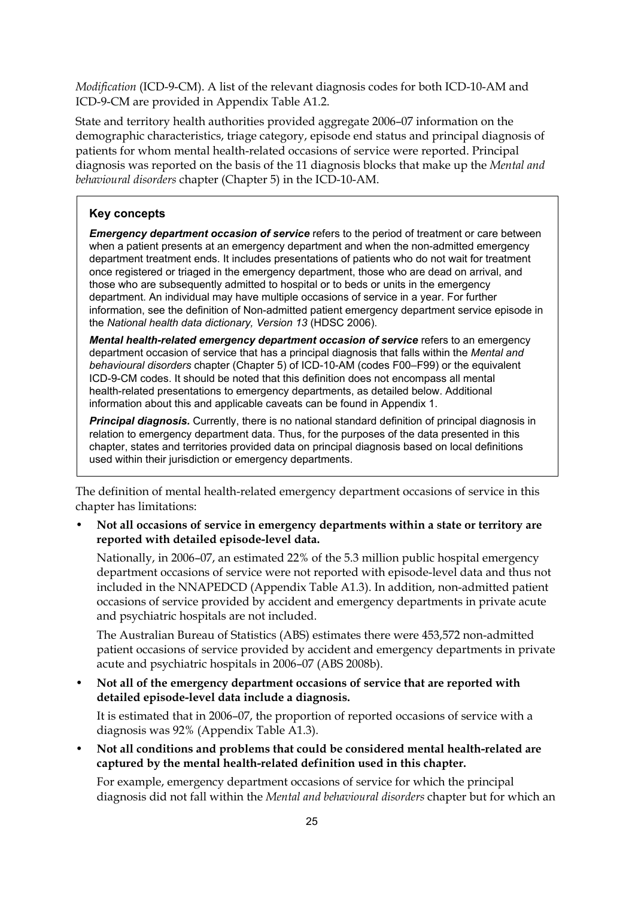*Modification* (ICD-9-CM). A list of the relevant diagnosis codes for both ICD-10-AM and ICD-9-CM are provided in Appendix Table A1.2.

State and territory health authorities provided aggregate 2006–07 information on the demographic characteristics, triage category, episode end status and principal diagnosis of patients for whom mental health-related occasions of service were reported. Principal diagnosis was reported on the basis of the 11 diagnosis blocks that make up the *Mental and behavioural disorders* chapter (Chapter 5) in the ICD-10-AM.

#### **Key concepts**

*Emergency department occasion of service* refers to the period of treatment or care between when a patient presents at an emergency department and when the non-admitted emergency department treatment ends. It includes presentations of patients who do not wait for treatment once registered or triaged in the emergency department, those who are dead on arrival, and those who are subsequently admitted to hospital or to beds or units in the emergency department. An individual may have multiple occasions of service in a year. For further information, see the definition of Non-admitted patient emergency department service episode in the *National health data dictionary, Version 13* (HDSC 2006).

*Mental health-related emergency department occasion of service* refers to an emergency department occasion of service that has a principal diagnosis that falls within the *Mental and behavioural disorders* chapter (Chapter 5) of ICD-10-AM (codes F00–F99) or the equivalent ICD-9-CM codes. It should be noted that this definition does not encompass all mental health-related presentations to emergency departments, as detailed below. Additional information about this and applicable caveats can be found in Appendix 1.

**Principal diagnosis.** Currently, there is no national standard definition of principal diagnosis in relation to emergency department data. Thus, for the purposes of the data presented in this chapter, states and territories provided data on principal diagnosis based on local definitions used within their jurisdiction or emergency departments.

The definition of mental health-related emergency department occasions of service in this chapter has limitations:

• **Not all occasions of service in emergency departments within a state or territory are reported with detailed episode-level data.** 

Nationally, in 2006–07, an estimated 22% of the 5.3 million public hospital emergency department occasions of service were not reported with episode-level data and thus not included in the NNAPEDCD (Appendix Table A1.3). In addition, non-admitted patient occasions of service provided by accident and emergency departments in private acute and psychiatric hospitals are not included.

The Australian Bureau of Statistics (ABS) estimates there were 453,572 non-admitted patient occasions of service provided by accident and emergency departments in private acute and psychiatric hospitals in 2006–07 (ABS 2008b).

• **Not all of the emergency department occasions of service that are reported with detailed episode-level data include a diagnosis.** 

It is estimated that in 2006–07, the proportion of reported occasions of service with a diagnosis was 92% (Appendix Table A1.3).

• **Not all conditions and problems that could be considered mental health-related are captured by the mental health-related definition used in this chapter.** 

For example, emergency department occasions of service for which the principal diagnosis did not fall within the *Mental and behavioural disorders* chapter but for which an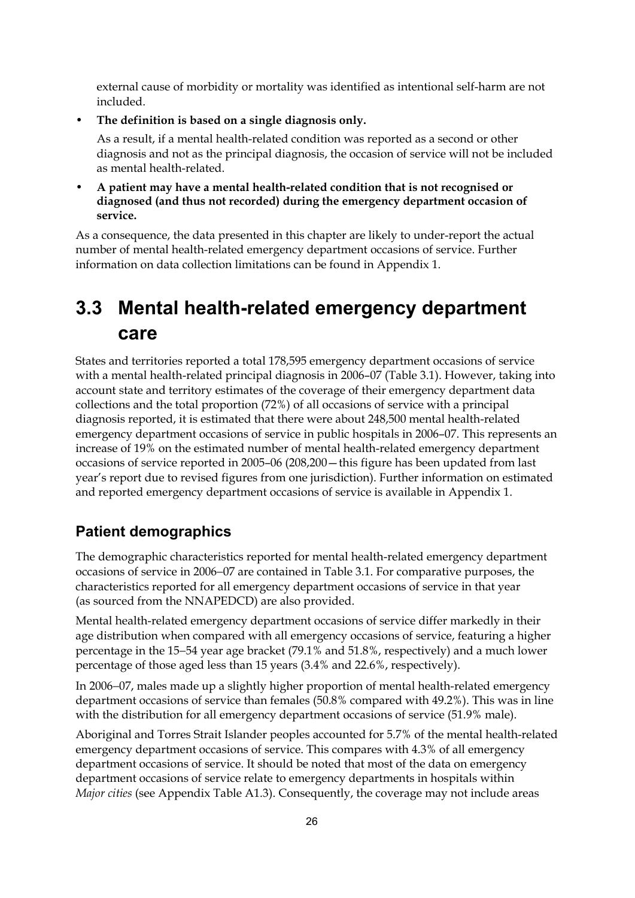external cause of morbidity or mortality was identified as intentional self-harm are not included.

• **The definition is based on a single diagnosis only.** 

As a result, if a mental health-related condition was reported as a second or other diagnosis and not as the principal diagnosis, the occasion of service will not be included as mental health-related.

• **A patient may have a mental health-related condition that is not recognised or diagnosed (and thus not recorded) during the emergency department occasion of service.** 

As a consequence, the data presented in this chapter are likely to under-report the actual number of mental health-related emergency department occasions of service. Further information on data collection limitations can be found in Appendix 1.

## **3.3 Mental health-related emergency department care**

States and territories reported a total 178,595 emergency department occasions of service with a mental health-related principal diagnosis in 2006–07 (Table 3.1). However, taking into account state and territory estimates of the coverage of their emergency department data collections and the total proportion (72%) of all occasions of service with a principal diagnosis reported, it is estimated that there were about 248,500 mental health-related emergency department occasions of service in public hospitals in 2006–07. This represents an increase of 19% on the estimated number of mental health-related emergency department occasions of service reported in 2005–06 (208,200—this figure has been updated from last year's report due to revised figures from one jurisdiction). Further information on estimated and reported emergency department occasions of service is available in Appendix 1.

### **Patient demographics**

The demographic characteristics reported for mental health-related emergency department occasions of service in 2006−07 are contained in Table 3.1. For comparative purposes, the characteristics reported for all emergency department occasions of service in that year (as sourced from the NNAPEDCD) are also provided.

Mental health-related emergency department occasions of service differ markedly in their age distribution when compared with all emergency occasions of service, featuring a higher percentage in the 15−54 year age bracket (79.1% and 51.8%, respectively) and a much lower percentage of those aged less than 15 years (3.4% and 22.6%, respectively).

In 2006−07, males made up a slightly higher proportion of mental health-related emergency department occasions of service than females (50.8% compared with 49.2%). This was in line with the distribution for all emergency department occasions of service (51.9% male).

Aboriginal and Torres Strait Islander peoples accounted for 5.7% of the mental health-related emergency department occasions of service. This compares with 4.3% of all emergency department occasions of service. It should be noted that most of the data on emergency department occasions of service relate to emergency departments in hospitals within *Major cities* (see Appendix Table A1.3). Consequently, the coverage may not include areas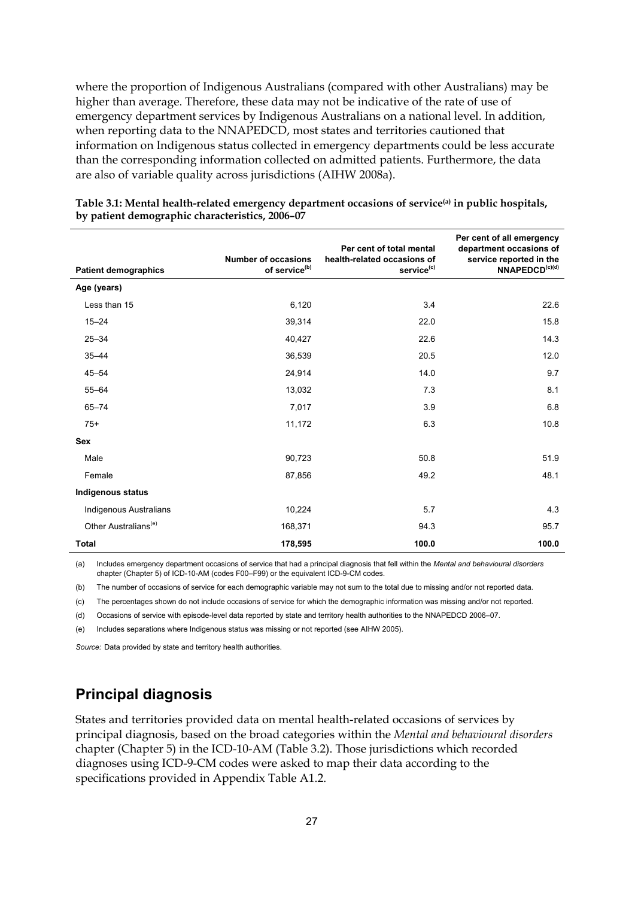where the proportion of Indigenous Australians (compared with other Australians) may be higher than average. Therefore, these data may not be indicative of the rate of use of emergency department services by Indigenous Australians on a national level. In addition, when reporting data to the NNAPEDCD, most states and territories cautioned that information on Indigenous status collected in emergency departments could be less accurate than the corresponding information collected on admitted patients. Furthermore, the data are also of variable quality across jurisdictions (AIHW 2008a).

| <b>Patient demographics</b>      | <b>Number of occasions</b><br>of service <sup>(b)</sup> | Per cent of total mental<br>health-related occasions of<br>service <sup>(c)</sup> | Per cent of all emergency<br>department occasions of<br>service reported in the<br>NNAPEDCD <sup>(c)(d)</sup> |
|----------------------------------|---------------------------------------------------------|-----------------------------------------------------------------------------------|---------------------------------------------------------------------------------------------------------------|
| Age (years)                      |                                                         |                                                                                   |                                                                                                               |
| Less than 15                     | 6,120                                                   | 3.4                                                                               | 22.6                                                                                                          |
| $15 - 24$                        | 39,314                                                  | 22.0                                                                              | 15.8                                                                                                          |
| $25 - 34$                        | 40,427                                                  | 22.6                                                                              | 14.3                                                                                                          |
| $35 - 44$                        | 36,539                                                  | 20.5                                                                              | 12.0                                                                                                          |
| $45 - 54$                        | 24,914                                                  | 14.0                                                                              | 9.7                                                                                                           |
| $55 - 64$                        | 13,032                                                  | 7.3                                                                               | 8.1                                                                                                           |
| $65 - 74$                        | 7,017                                                   | 3.9                                                                               | 6.8                                                                                                           |
| $75+$                            | 11,172                                                  | 6.3                                                                               | 10.8                                                                                                          |
| <b>Sex</b>                       |                                                         |                                                                                   |                                                                                                               |
| Male                             | 90,723                                                  | 50.8                                                                              | 51.9                                                                                                          |
| Female                           | 87,856                                                  | 49.2                                                                              | 48.1                                                                                                          |
| Indigenous status                |                                                         |                                                                                   |                                                                                                               |
| Indigenous Australians           | 10,224                                                  | 5.7                                                                               | 4.3                                                                                                           |
| Other Australians <sup>(e)</sup> | 168,371                                                 | 94.3                                                                              | 95.7                                                                                                          |
| <b>Total</b>                     | 178,595                                                 | 100.0                                                                             | 100.0                                                                                                         |

**Table 3.1: Mental health-related emergency department occasions of service(a) in public hospitals, by patient demographic characteristics, 2006–07** 

(a) Includes emergency department occasions of service that had a principal diagnosis that fell within the *Mental and behavioural disorders* chapter (Chapter 5) of ICD-10-AM (codes F00–F99) or the equivalent ICD-9-CM codes.

(b) The number of occasions of service for each demographic variable may not sum to the total due to missing and/or not reported data.

(c) The percentages shown do not include occasions of service for which the demographic information was missing and/or not reported.

(d) Occasions of service with episode-level data reported by state and territory health authorities to the NNAPEDCD 2006–07.

(e) Includes separations where Indigenous status was missing or not reported (see AIHW 2005).

*Source:* Data provided by state and territory health authorities.

### **Principal diagnosis**

States and territories provided data on mental health-related occasions of services by principal diagnosis, based on the broad categories within the *Mental and behavioural disorders* chapter (Chapter 5) in the ICD-10-AM (Table 3.2). Those jurisdictions which recorded diagnoses using ICD-9-CM codes were asked to map their data according to the specifications provided in Appendix Table A1.2.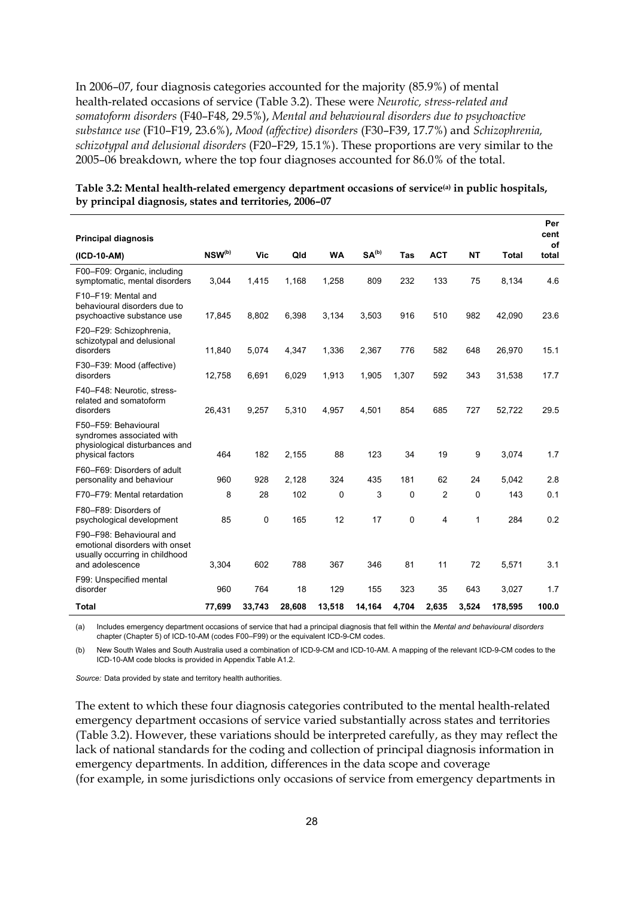In 2006–07, four diagnosis categories accounted for the majority (85.9%) of mental health-related occasions of service (Table 3.2). These were *Neurotic, stress-related and somatoform disorders* (F40–F48, 29.5%), *Mental and behavioural disorders due to psychoactive substance use* (F10–F19, 23.6%), *Mood (affective) disorders* (F30–F39, 17.7%) and *Schizophrenia, schizotypal and delusional disorders* (F20–F29, 15.1%). These proportions are very similar to the 2005–06 breakdown, where the top four diagnoses accounted for 86.0% of the total.

|                                                                                                                 |             |        |        |             |                   |             |                |           |              | Per        |
|-----------------------------------------------------------------------------------------------------------------|-------------|--------|--------|-------------|-------------------|-------------|----------------|-----------|--------------|------------|
| <b>Principal diagnosis</b>                                                                                      |             |        |        |             |                   |             |                |           |              | cent<br>of |
| (ICD-10-AM)                                                                                                     | $NSW^{(b)}$ | Vic    | Qld    | <b>WA</b>   | SA <sup>(b)</sup> | Tas         | <b>ACT</b>     | <b>NT</b> | <b>Total</b> | total      |
| F00-F09: Organic, including<br>symptomatic, mental disorders                                                    | 3,044       | 1,415  | 1,168  | 1,258       | 809               | 232         | 133            | 75        | 8,134        | 4.6        |
| F10-F19: Mental and<br>behavioural disorders due to<br>psychoactive substance use                               | 17,845      | 8,802  | 6,398  | 3,134       | 3,503             | 916         | 510            | 982       | 42,090       | 23.6       |
| F20-F29: Schizophrenia,<br>schizotypal and delusional<br>disorders                                              | 11,840      | 5,074  | 4,347  | 1,336       | 2,367             | 776         | 582            | 648       | 26,970       | 15.1       |
| F30-F39: Mood (affective)<br>disorders                                                                          | 12,758      | 6,691  | 6,029  | 1,913       | 1,905             | 1,307       | 592            | 343       | 31,538       | 17.7       |
| F40-F48: Neurotic, stress-<br>related and somatoform<br>disorders                                               | 26,431      | 9,257  | 5,310  | 4,957       | 4,501             | 854         | 685            | 727       | 52,722       | 29.5       |
| F50-F59: Behavioural<br>syndromes associated with<br>physiological disturbances and<br>physical factors         | 464         | 182    | 2,155  | 88          | 123               | 34          | 19             | 9         | 3,074        | 1.7        |
| F60-F69: Disorders of adult<br>personality and behaviour                                                        | 960         | 928    | 2.128  | 324         | 435               | 181         | 62             | 24        | 5.042        | 2.8        |
| F70-F79: Mental retardation                                                                                     | 8           | 28     | 102    | $\mathbf 0$ | 3                 | $\mathbf 0$ | $\overline{2}$ | 0         | 143          | 0.1        |
| F80-F89: Disorders of<br>psychological development                                                              | 85          | 0      | 165    | 12          | 17                | 0           | 4              | 1         | 284          | 0.2        |
| F90-F98: Behavioural and<br>emotional disorders with onset<br>usually occurring in childhood<br>and adolescence | 3,304       | 602    | 788    | 367         | 346               | 81          | 11             | 72        | 5,571        | 3.1        |
| F99: Unspecified mental<br>disorder                                                                             | 960         | 764    | 18     | 129         | 155               | 323         | 35             | 643       | 3,027        | 1.7        |
| <b>Total</b>                                                                                                    | 77,699      | 33,743 | 28,608 | 13,518      | 14,164            | 4,704       | 2,635          | 3,524     | 178,595      | 100.0      |

#### **Table 3.2: Mental health-related emergency department occasions of service(a) in public hospitals, by principal diagnosis, states and territories, 2006–07**

(a) Includes emergency department occasions of service that had a principal diagnosis that fell within the *Mental and behavioural disorders* chapter (Chapter 5) of ICD-10-AM (codes F00–F99) or the equivalent ICD-9-CM codes.

(b) New South Wales and South Australia used a combination of ICD-9-CM and ICD-10-AM. A mapping of the relevant ICD-9-CM codes to the ICD-10-AM code blocks is provided in Appendix Table A1.2.

*Source:* Data provided by state and territory health authorities.

The extent to which these four diagnosis categories contributed to the mental health-related emergency department occasions of service varied substantially across states and territories (Table 3.2). However, these variations should be interpreted carefully, as they may reflect the lack of national standards for the coding and collection of principal diagnosis information in emergency departments. In addition, differences in the data scope and coverage (for example, in some jurisdictions only occasions of service from emergency departments in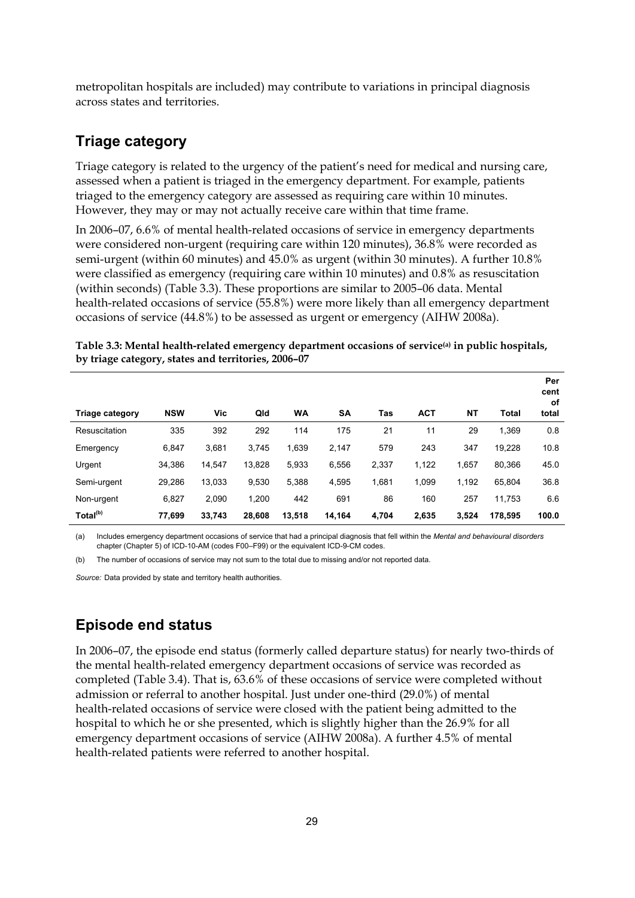metropolitan hospitals are included) may contribute to variations in principal diagnosis across states and territories.

#### **Triage category**

Triage category is related to the urgency of the patient's need for medical and nursing care, assessed when a patient is triaged in the emergency department. For example, patients triaged to the emergency category are assessed as requiring care within 10 minutes. However, they may or may not actually receive care within that time frame.

In 2006–07, 6.6% of mental health-related occasions of service in emergency departments were considered non-urgent (requiring care within 120 minutes), 36.8% were recorded as semi-urgent (within 60 minutes) and 45.0% as urgent (within 30 minutes). A further 10.8% were classified as emergency (requiring care within 10 minutes) and 0.8% as resuscitation (within seconds) (Table 3.3). These proportions are similar to 2005–06 data. Mental health-related occasions of service (55.8%) were more likely than all emergency department occasions of service (44.8%) to be assessed as urgent or emergency (AIHW 2008a).

| Table 3.3: Mental health-related emergency department occasions of service <sup>(a)</sup> in public hospitals, |  |
|----------------------------------------------------------------------------------------------------------------|--|
| by triage category, states and territories, 2006-07                                                            |  |

| <b>Triage category</b> | <b>NSW</b> | Vic    | Qld    | <b>WA</b> | <b>SA</b> | Tas   | <b>ACT</b> | NΤ    | Total   | Per<br>cent<br>οf<br>total |
|------------------------|------------|--------|--------|-----------|-----------|-------|------------|-------|---------|----------------------------|
| Resuscitation          | 335        | 392    | 292    | 114       | 175       | 21    | 11         | 29    | 1,369   | 0.8                        |
| Emergency              | 6,847      | 3,681  | 3,745  | 1,639     | 2,147     | 579   | 243        | 347   | 19,228  | 10.8                       |
| Urgent                 | 34.386     | 14.547 | 13.828 | 5,933     | 6,556     | 2,337 | 1,122      | 1.657 | 80,366  | 45.0                       |
| Semi-urgent            | 29,286     | 13,033 | 9,530  | 5.388     | 4,595     | 1,681 | 1.099      | 1,192 | 65.804  | 36.8                       |
| Non-urgent             | 6,827      | 2.090  | 1.200  | 442       | 691       | 86    | 160        | 257   | 11.753  | 6.6                        |
| Total <sup>(b)</sup>   | 77,699     | 33,743 | 28,608 | 13,518    | 14,164    | 4,704 | 2.635      | 3,524 | 178,595 | 100.0                      |

(a) Includes emergency department occasions of service that had a principal diagnosis that fell within the *Mental and behavioural disorders* chapter (Chapter 5) of ICD-10-AM (codes F00–F99) or the equivalent ICD-9-CM codes.

(b) The number of occasions of service may not sum to the total due to missing and/or not reported data.

*Source:* Data provided by state and territory health authorities.

#### **Episode end status**

In 2006–07, the episode end status (formerly called departure status) for nearly two-thirds of the mental health-related emergency department occasions of service was recorded as completed (Table 3.4). That is, 63.6% of these occasions of service were completed without admission or referral to another hospital. Just under one-third (29.0%) of mental health-related occasions of service were closed with the patient being admitted to the hospital to which he or she presented, which is slightly higher than the 26.9% for all emergency department occasions of service (AIHW 2008a). A further 4.5% of mental health-related patients were referred to another hospital.